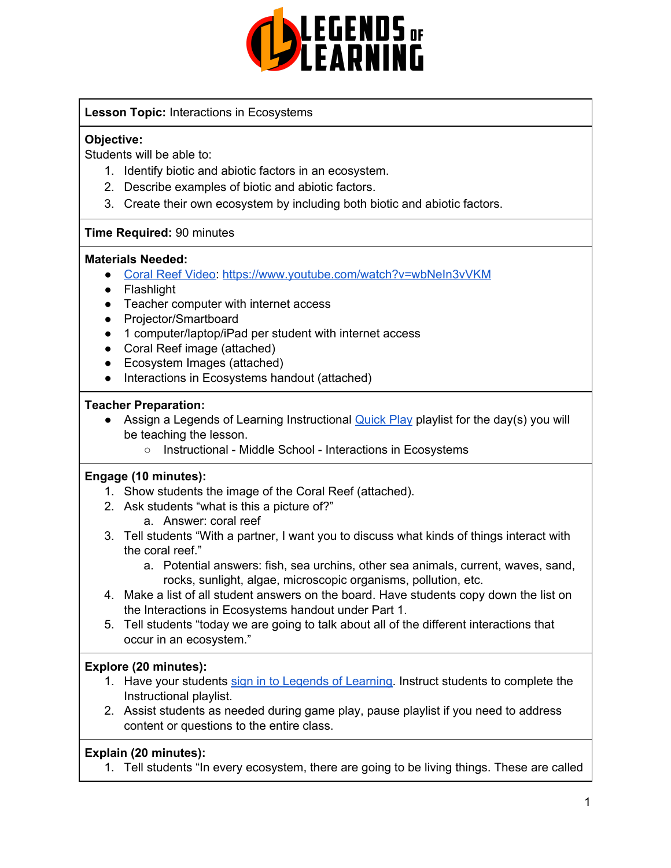

### **Lesson Topic:** Interactions in Ecosystems

### **Objective:**

Students will be able to:

- 1. Identify biotic and abiotic factors in an ecosystem.
- 2. Describe examples of biotic and abiotic factors.
- 3. Create their own ecosystem by including both biotic and abiotic factors.

### **Time Required:** 90 minutes

### **Materials Needed:**

- Coral Reef [Video:](https://www.youtube.com/watch?v=wbNeIn3vVKM) <https://www.youtube.com/watch?v=wbNeIn3vVKM>
- Flashlight
- Teacher computer with internet access
- Projector/Smartboard
- 1 computer/laptop/iPad per student with internet access
- Coral Reef image (attached)
- Ecosystem Images (attached)
- Interactions in Ecosystems handout (attached)

### **Teacher Preparation:**

- Assign a Legends of Learning Instructional **[Quick](https://intercom.help/legends-of-learning/en/articles/2701866-assigning-a-quick-play-playlist) Play playlist for the day(s)** you will be teaching the lesson.
	- Instructional Middle School Interactions in Ecosystems

### **Engage (10 minutes):**

- 1. Show students the image of the Coral Reef (attached).
- 2. Ask students "what is this a picture of?"
	- a. Answer: coral reef
- 3. Tell students "With a partner, I want you to discuss what kinds of things interact with the coral reef."
	- a. Potential answers: fish, sea urchins, other sea animals, current, waves, sand, rocks, sunlight, algae, microscopic organisms, pollution, etc.
- 4. Make a list of all student answers on the board. Have students copy down the list on the Interactions in Ecosystems handout under Part 1.
- 5. Tell students "today we are going to talk about all of the different interactions that occur in an ecosystem."

### **Explore (20 minutes):**

- 1. Have your students sign in to Legends of [Learning](https://intercom.help/legends-of-learning/en/articles/2154920-students-joining-a-playlist). Instruct students to complete the Instructional playlist.
- 2. Assist students as needed during game play, pause playlist if you need to address content or questions to the entire class.

### **Explain (20 minutes):**

1. Tell students "In every ecosystem, there are going to be living things. These are called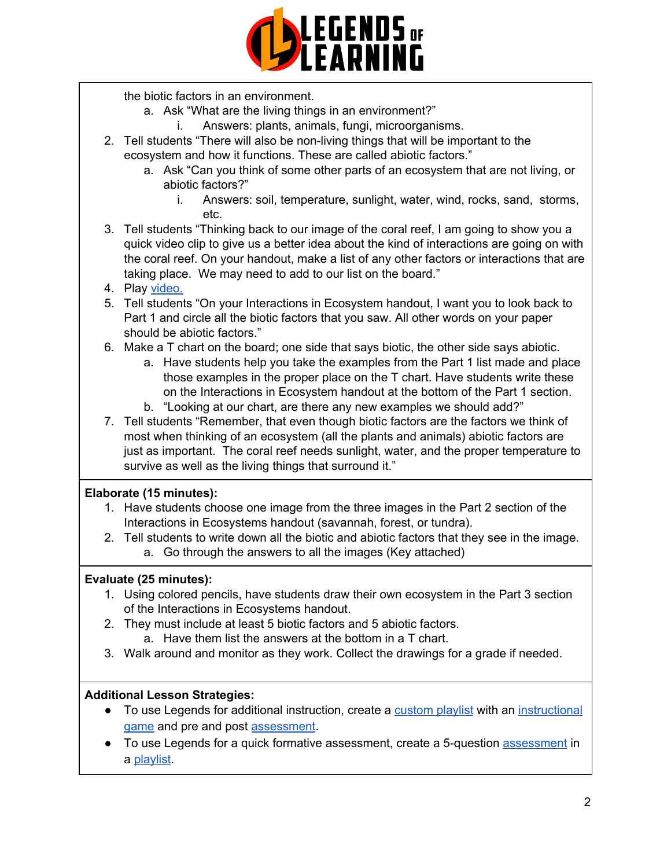

the biotic factors in an environment.

- a. Ask "What are the living things in an environment?"
	- i. Answers: plants, animals, fungi, microorganisms.
- 2. Tell students "There will also be non-living things that will be important to the ecosystem and how it functions. These are called abiotic factors."
	- a. Ask "Can you think of some other parts of an ecosystem that are not living, or abiotic factors?"
		- i. Answers: soil, temperature, sunlight, water, wind, rocks, sand, storms, etc.
- 3. Tell students "Thinking back to our image of the coral reef, I am going to show you a quick video clip to give us a better idea about the kind of interactions are going on with the coral reef. On your handout, make a list of any other factors or interactions that are taking place. We may need to add to our list on the board."
- 4. Play [video.](https://www.youtube.com/watch?v=wbNeIn3vVKM)
- 5. Tell students "On your Interactions in Ecosystem handout, I want you to look back to Part 1 and circle all the biotic factors that you saw. All other words on your paper should be abiotic factors."
- 6. Make a T chart on the board; one side that says biotic, the other side says abiotic.
	- a. Have students help you take the examples from the Part 1 list made and place those examples in the proper place on the T chart. Have students write these on the Interactions in Ecosystem handout at the bottom of the Part 1 section.
	- b. "Looking at our chart, are there any new examples we should add?"
- 7. Tell students "Remember, that even though biotic factors are the factors we think of most when thinking of an ecosystem (all the plants and animals) abiotic factors are just as important. The coral reef needs sunlight, water, and the proper temperature to survive as well as the living things that surround it."

### **Elaborate (15 minutes):**

- 1. Have students choose one image from the three images in the Part 2 section of the Interactions in Ecosystems handout (savannah, forest, or tundra).
- 2. Tell students to write down all the biotic and abiotic factors that they see in the image. a. Go through the answers to all the images (Key attached)

### **Evaluate (25 minutes):**

- 1. Using colored pencils, have students draw their own ecosystem in the Part 3 section of the Interactions in Ecosystems handout.
- 2. They must include at least 5 biotic factors and 5 abiotic factors.
	- a. Have them list the answers at the bottom in a T chart.
- 3. Walk around and monitor as they work. Collect the drawings for a grade if needed.

### **Additional Lesson Strategies:**

- To use Legends for additional instruction, create a [custom](https://intercom.help/legends-of-learning/en/articles/2154910-creating-a-playlist) playlist with an [instructional](https://intercom.help/legends-of-learning/en/articles/3505828-types-of-games) [game](https://intercom.help/legends-of-learning/en/articles/3505828-types-of-games) and pre and post [assessment](https://intercom.help/legends-of-learning/en/articles/2154913-adding-assessments-to-a-playlist).
- To use Legends for a quick formative [assessment](https://intercom.help/legends-of-learning/en/articles/2154913-adding-assessments-to-a-playlist), create a 5-question assessment in a [playlist](https://intercom.help/legends-of-learning/en/articles/2154910-creating-a-playlist).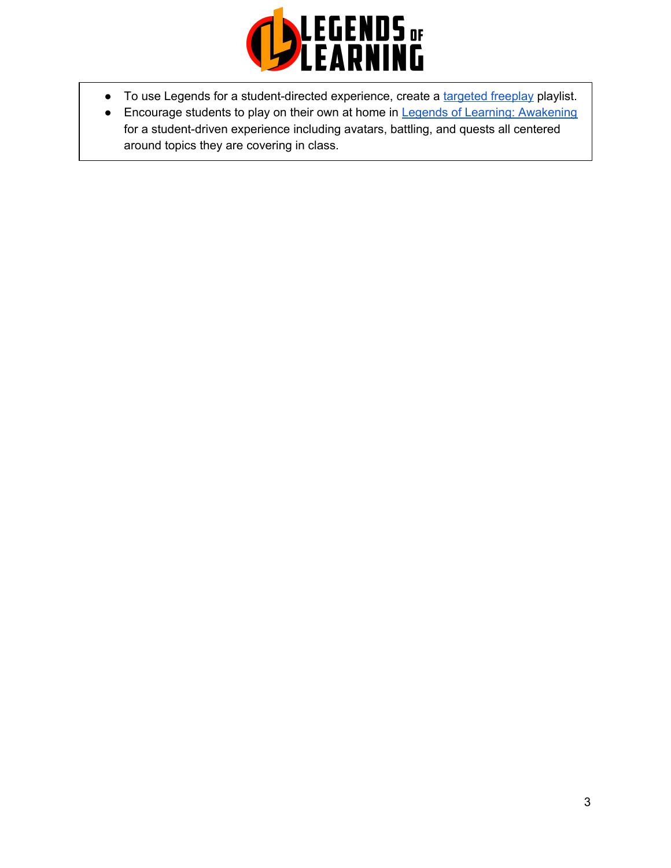

- To use Legends for a student-directed experience, create a [targeted](https://intercom.help/legends-of-learning/en/articles/3340814-targeted-freeplay) freeplay playlist.
- Encourage students to play on their own at home in Legends of Learning: [Awakening](https://intercom.help/legends-of-learning/en/articles/2425490-legends-of-learning-awakening) for a student-driven experience including avatars, battling, and quests all centered around topics they are covering in class.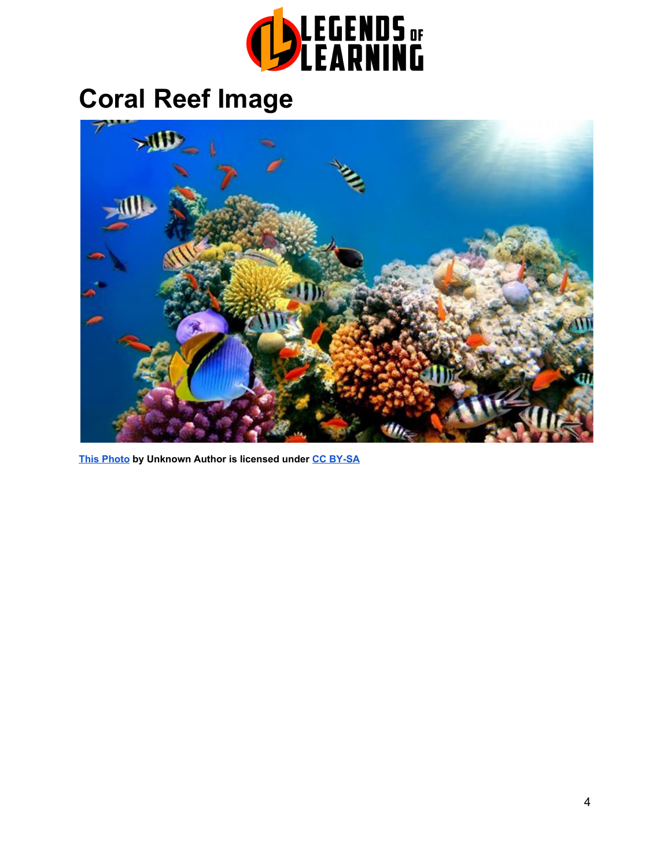

# **Coral Reef Image**



**[This Photo](http://travel.stackexchange.com/questions/73895/reefs-for-scuba-diving-or-snorkelling-where-there-is-sufficient-sunlight-stream/73924) by Unknown Author is licensed under [CC BY-SA](https://creativecommons.org/licenses/by-sa/3.0/)**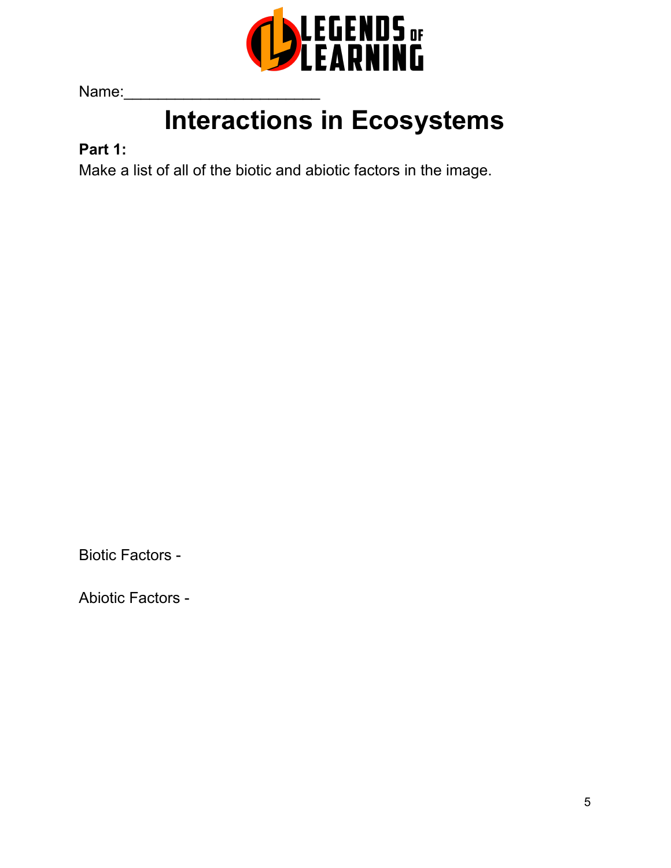

Name:

# **Interactions in Ecosystems**

# **Part 1:**

Make a list of all of the biotic and abiotic factors in the image.

Biotic Factors -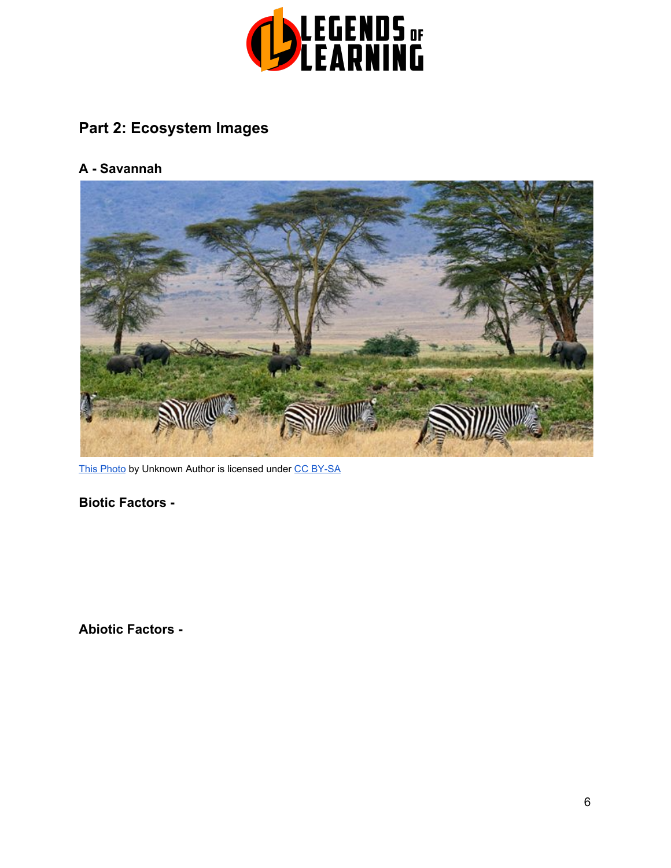

# **Part 2: Ecosystem Images**

### **A - Savannah**



[This Photo](https://commons.wikimedia.org/wiki/File:Zebras,_Serengeti_savana_plains,_Tanzania.jpg) by Unknown Autho[r](https://creativecommons.org/licenses/by-sa/3.0/) is licensed under [CC BY-SA](https://creativecommons.org/licenses/by-sa/3.0/)

**Biotic Factors -**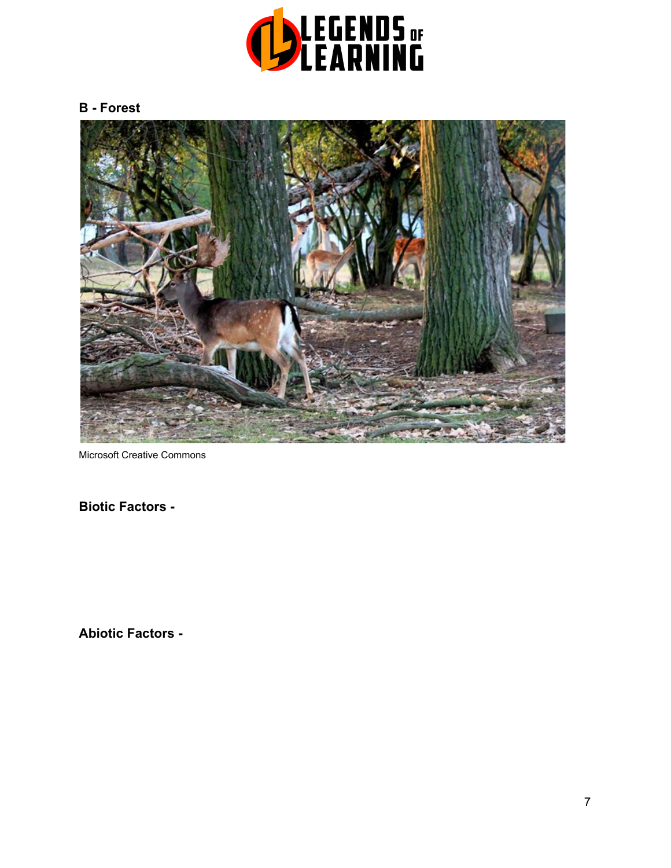

### **B - Forest**



Microsoft Creative Commons

**Biotic Factors -**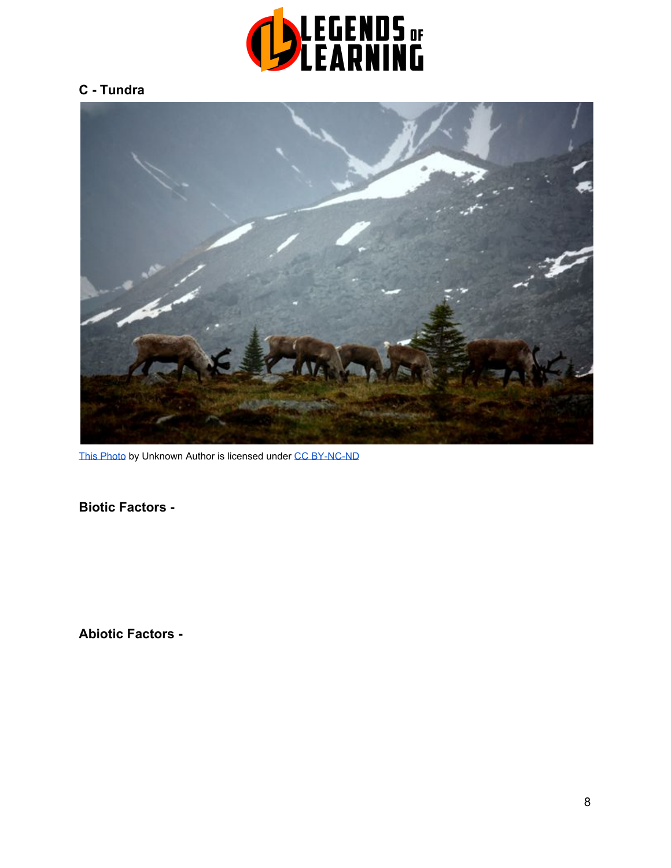

### **C - Tundra**



[This Photo](https://conservationbytes.com/2012/04/10/wounded-soldiers-of-biodiversity/) by Unknown Author is licensed unde[r](https://creativecommons.org/licenses/by-nc-nd/3.0/) [CC BY-NC-ND](https://creativecommons.org/licenses/by-nc-nd/3.0/)

**Biotic Factors -**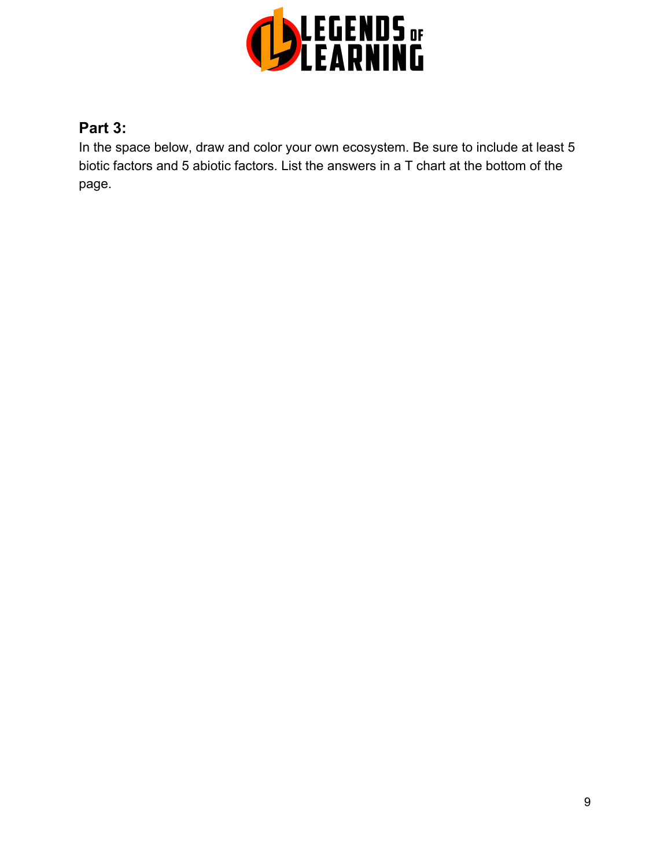

# **Part 3:**

In the space below, draw and color your own ecosystem. Be sure to include at least 5 biotic factors and 5 abiotic factors. List the answers in a T chart at the bottom of the page.